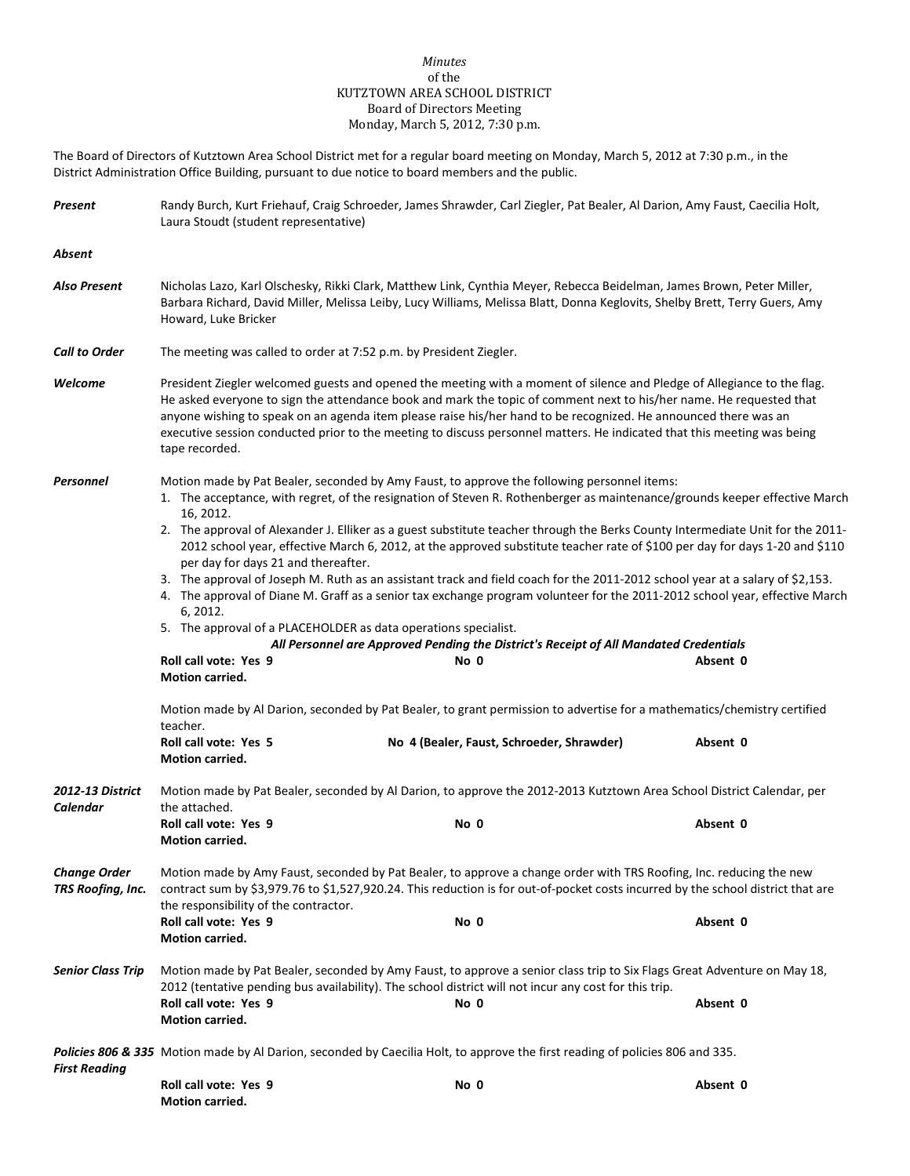## *Minutes* of the KUTZTOWN AREA SCHOOL DISTRICT Board of Directors Meeting Monday, March 5, 2012, 7:30 p.m.

The Board of Directors of Kutztown Area School District met for a regular board meeting on Monday, March 5, 2012 at 7:30 p.m., in the District Administration Office Building, pursuant to due notice to board members and the public.

| Present                                                                                                                                                                                                                                                                                                                                      | Randy Burch, Kurt Friehauf, Craig Schroeder, James Shrawder, Carl Ziegler, Pat Bealer, Al Darion, Amy Faust, Caecilia Holt,<br>Laura Stoudt (student representative)                                                                                                                                                                                                                                                                                                                                           |                                                                                                                                                                                                                                                               |          |  |  |
|----------------------------------------------------------------------------------------------------------------------------------------------------------------------------------------------------------------------------------------------------------------------------------------------------------------------------------------------|----------------------------------------------------------------------------------------------------------------------------------------------------------------------------------------------------------------------------------------------------------------------------------------------------------------------------------------------------------------------------------------------------------------------------------------------------------------------------------------------------------------|---------------------------------------------------------------------------------------------------------------------------------------------------------------------------------------------------------------------------------------------------------------|----------|--|--|
| Absent                                                                                                                                                                                                                                                                                                                                       |                                                                                                                                                                                                                                                                                                                                                                                                                                                                                                                |                                                                                                                                                                                                                                                               |          |  |  |
| Also Present                                                                                                                                                                                                                                                                                                                                 | Nicholas Lazo, Karl Olschesky, Rikki Clark, Matthew Link, Cynthia Meyer, Rebecca Beidelman, James Brown, Peter Miller,<br>Barbara Richard, David Miller, Melissa Leiby, Lucy Williams, Melissa Blatt, Donna Keglovits, Shelby Brett, Terry Guers, Amy<br>Howard, Luke Bricker                                                                                                                                                                                                                                  |                                                                                                                                                                                                                                                               |          |  |  |
| <b>Call to Order</b>                                                                                                                                                                                                                                                                                                                         | The meeting was called to order at 7:52 p.m. by President Ziegler.                                                                                                                                                                                                                                                                                                                                                                                                                                             |                                                                                                                                                                                                                                                               |          |  |  |
| Welcome                                                                                                                                                                                                                                                                                                                                      | President Ziegler welcomed guests and opened the meeting with a moment of silence and Pledge of Allegiance to the flag.<br>He asked everyone to sign the attendance book and mark the topic of comment next to his/her name. He requested that<br>anyone wishing to speak on an agenda item please raise his/her hand to be recognized. He announced there was an<br>executive session conducted prior to the meeting to discuss personnel matters. He indicated that this meeting was being<br>tape recorded. |                                                                                                                                                                                                                                                               |          |  |  |
| <b>Personnel</b>                                                                                                                                                                                                                                                                                                                             | 16, 2012.                                                                                                                                                                                                                                                                                                                                                                                                                                                                                                      | Motion made by Pat Bealer, seconded by Amy Faust, to approve the following personnel items:<br>1. The acceptance, with regret, of the resignation of Steven R. Rothenberger as maintenance/grounds keeper effective March                                     |          |  |  |
|                                                                                                                                                                                                                                                                                                                                              | per day for days 21 and thereafter.                                                                                                                                                                                                                                                                                                                                                                                                                                                                            | 2. The approval of Alexander J. Elliker as a guest substitute teacher through the Berks County Intermediate Unit for the 2011-<br>2012 school year, effective March 6, 2012, at the approved substitute teacher rate of \$100 per day for days 1-20 and \$110 |          |  |  |
|                                                                                                                                                                                                                                                                                                                                              | 3. The approval of Joseph M. Ruth as an assistant track and field coach for the 2011-2012 school year at a salary of \$2,153.<br>4. The approval of Diane M. Graff as a senior tax exchange program volunteer for the 2011-2012 school year, effective March                                                                                                                                                                                                                                                   |                                                                                                                                                                                                                                                               |          |  |  |
|                                                                                                                                                                                                                                                                                                                                              | 6, 2012.<br>5. The approval of a PLACEHOLDER as data operations specialist.<br>All Personnel are Approved Pending the District's Receipt of All Mandated Credentials                                                                                                                                                                                                                                                                                                                                           |                                                                                                                                                                                                                                                               |          |  |  |
|                                                                                                                                                                                                                                                                                                                                              | Roll call vote: Yes 9<br>Motion carried.                                                                                                                                                                                                                                                                                                                                                                                                                                                                       | No 0                                                                                                                                                                                                                                                          | Absent 0 |  |  |
|                                                                                                                                                                                                                                                                                                                                              | Motion made by Al Darion, seconded by Pat Bealer, to grant permission to advertise for a mathematics/chemistry certified<br>teacher.                                                                                                                                                                                                                                                                                                                                                                           |                                                                                                                                                                                                                                                               |          |  |  |
|                                                                                                                                                                                                                                                                                                                                              | Roll call vote: Yes 5<br>Motion carried.                                                                                                                                                                                                                                                                                                                                                                                                                                                                       | No 4 (Bealer, Faust, Schroeder, Shrawder)                                                                                                                                                                                                                     | Absent 0 |  |  |
| <b>2012-13 District</b><br>Calendar                                                                                                                                                                                                                                                                                                          | Motion made by Pat Bealer, seconded by Al Darion, to approve the 2012-2013 Kutztown Area School District Calendar, per<br>the attached.                                                                                                                                                                                                                                                                                                                                                                        |                                                                                                                                                                                                                                                               |          |  |  |
|                                                                                                                                                                                                                                                                                                                                              | Roll call vote: Yes 9<br>Motion carried.                                                                                                                                                                                                                                                                                                                                                                                                                                                                       | No 0                                                                                                                                                                                                                                                          | Absent 0 |  |  |
| <b>Change Order</b><br>Motion made by Amy Faust, seconded by Pat Bealer, to approve a change order with TRS Roofing, Inc. reducing the new<br>contract sum by \$3,979.76 to \$1,527,920.24. This reduction is for out-of-pocket costs incurred by the school district that are<br>TRS Roofing, Inc.<br>the responsibility of the contractor. |                                                                                                                                                                                                                                                                                                                                                                                                                                                                                                                |                                                                                                                                                                                                                                                               |          |  |  |
|                                                                                                                                                                                                                                                                                                                                              | Roll call vote: Yes 9<br><b>Motion carried.</b>                                                                                                                                                                                                                                                                                                                                                                                                                                                                | No 0                                                                                                                                                                                                                                                          | Absent 0 |  |  |
| <b>Senior Class Trip</b>                                                                                                                                                                                                                                                                                                                     | Motion made by Pat Bealer, seconded by Amy Faust, to approve a senior class trip to Six Flags Great Adventure on May 18,<br>2012 (tentative pending bus availability). The school district will not incur any cost for this trip.                                                                                                                                                                                                                                                                              |                                                                                                                                                                                                                                                               |          |  |  |
|                                                                                                                                                                                                                                                                                                                                              | Roll call vote: Yes 9<br><b>Motion carried.</b>                                                                                                                                                                                                                                                                                                                                                                                                                                                                | No 0                                                                                                                                                                                                                                                          | Absent 0 |  |  |
| <b>First Reading</b>                                                                                                                                                                                                                                                                                                                         | Policies 806 & 335 Motion made by Al Darion, seconded by Caecilia Holt, to approve the first reading of policies 806 and 335.                                                                                                                                                                                                                                                                                                                                                                                  |                                                                                                                                                                                                                                                               |          |  |  |
|                                                                                                                                                                                                                                                                                                                                              | Roll call vote: Yes 9<br>Motion carried.                                                                                                                                                                                                                                                                                                                                                                                                                                                                       | No 0                                                                                                                                                                                                                                                          | Absent 0 |  |  |